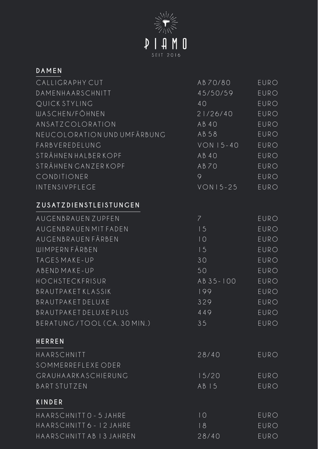

| <b>DAMEN</b>                |                |             |
|-----------------------------|----------------|-------------|
| CALLIGRAPHY CUT             | AB70/80        | EURO        |
| DAMENHAARSCHNITT            | 45/50/59       | <b>EURO</b> |
| QUICK STYLING               | 40             | <b>EURO</b> |
| <b>WASCHEN/FÖHNEN</b>       | 21/26/40       | EURO        |
| ANSATZCOLORATION            | AB40           | EURO        |
| NEUCOLORATION UND UMFÄRBUNG | AB58           | EURO        |
| FARBVEREDELUNG              | $VON$ 15-40    | EURO        |
| STRÄHNEN HALBER KOPF        | AB40           | EURO        |
| STRÄHNEN GANZERKOPF         | AB70           | EURO        |
| CONDITIONER                 | 9              | <b>EURO</b> |
| INTENSIVPFLEGE              | $VON15 - 25$   | EURO        |
| ZUSATZDIENSTLEISTUNGEN      |                |             |
| AUGENBRAUEN ZUPFEN          | $\overline{7}$ | EURO        |
| AUGENBRAUEN MIT FADEN       | 15             | EURO        |
| AUGENBRAUEN FÄRBEN          | 10             | EURO        |
| <b>WIMPERN FÄRBEN</b>       | 15             | EURO        |
| TAGES MAKE-UP               | 30             | EURO        |
| ABEND MAKE-UP               | 50             | EURO        |
| HOCHSTECKFRISUR             | AB 35-100      | EURO        |
| <b>BRAUTPAKETKLASSIK</b>    | 199            | EURO        |
| <b>BRAUTPAKET DELUXE</b>    | 329            | EURO        |
| BRAUTPAKET DELUXE PLUS      | 449            | <b>EURO</b> |
| BERATUNG/TOOL (CA. 30 MIN.) | 35             | <b>EURO</b> |
| <b>HERREN</b>               |                |             |
| HAARSCHNITT                 | 28/40          | EURO        |
| SOMMERREFLEXE ODER          |                |             |
| GRAUHAARKASCHIERUNG         | 15/20          | EURO        |
| <b>BART STUTZEN</b>         | AB15           | EURO        |
| KINDER                      |                |             |
| HAARSCHNITTO - 5 JAHRE      | 10             | EURO        |
| HAARSCHNITT 6 - 12 JAHRE    | 18             | EURO        |
| HAARSCHNITT AB 13 JAHREN    | 28/40          | EURO        |